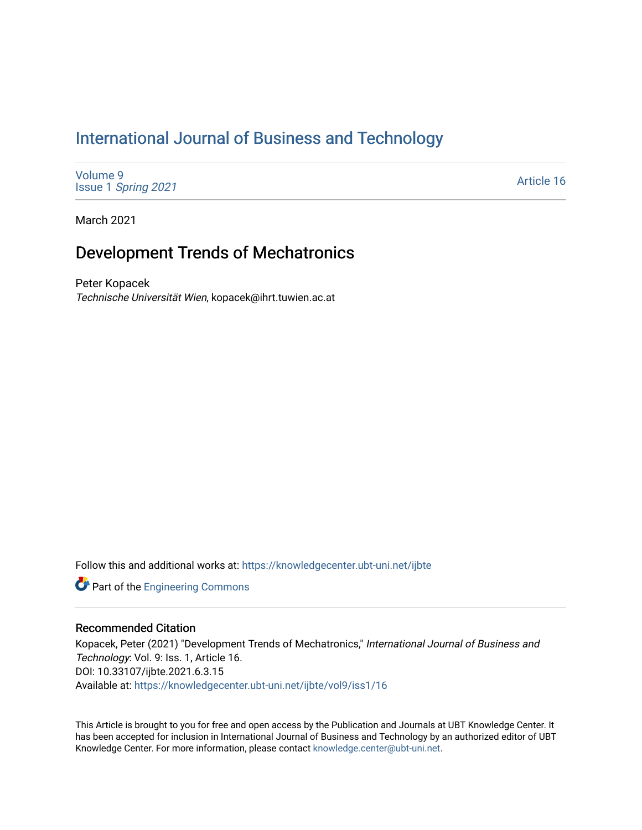# [International Journal of Business and Technology](https://knowledgecenter.ubt-uni.net/ijbte)

[Volume 9](https://knowledgecenter.ubt-uni.net/ijbte/vol9) Issue 1 [Spring 2021](https://knowledgecenter.ubt-uni.net/ijbte/vol9/iss1) 

[Article 16](https://knowledgecenter.ubt-uni.net/ijbte/vol9/iss1/16) 

March 2021

## Development Trends of Mechatronics

Peter Kopacek Technische Universität Wien, kopacek@ihrt.tuwien.ac.at

Follow this and additional works at: [https://knowledgecenter.ubt-uni.net/ijbte](https://knowledgecenter.ubt-uni.net/ijbte?utm_source=knowledgecenter.ubt-uni.net%2Fijbte%2Fvol9%2Fiss1%2F16&utm_medium=PDF&utm_campaign=PDFCoverPages) 

Part of the [Engineering Commons](https://network.bepress.com/hgg/discipline/217?utm_source=knowledgecenter.ubt-uni.net%2Fijbte%2Fvol9%2Fiss1%2F16&utm_medium=PDF&utm_campaign=PDFCoverPages)

#### Recommended Citation

Kopacek, Peter (2021) "Development Trends of Mechatronics," International Journal of Business and Technology: Vol. 9: Iss. 1, Article 16. DOI: 10.33107/ijbte.2021.6.3.15 Available at: [https://knowledgecenter.ubt-uni.net/ijbte/vol9/iss1/16](https://knowledgecenter.ubt-uni.net/ijbte/vol9/iss1/16?utm_source=knowledgecenter.ubt-uni.net%2Fijbte%2Fvol9%2Fiss1%2F16&utm_medium=PDF&utm_campaign=PDFCoverPages) 

This Article is brought to you for free and open access by the Publication and Journals at UBT Knowledge Center. It has been accepted for inclusion in International Journal of Business and Technology by an authorized editor of UBT Knowledge Center. For more information, please contact [knowledge.center@ubt-uni.net](mailto:knowledge.center@ubt-uni.net).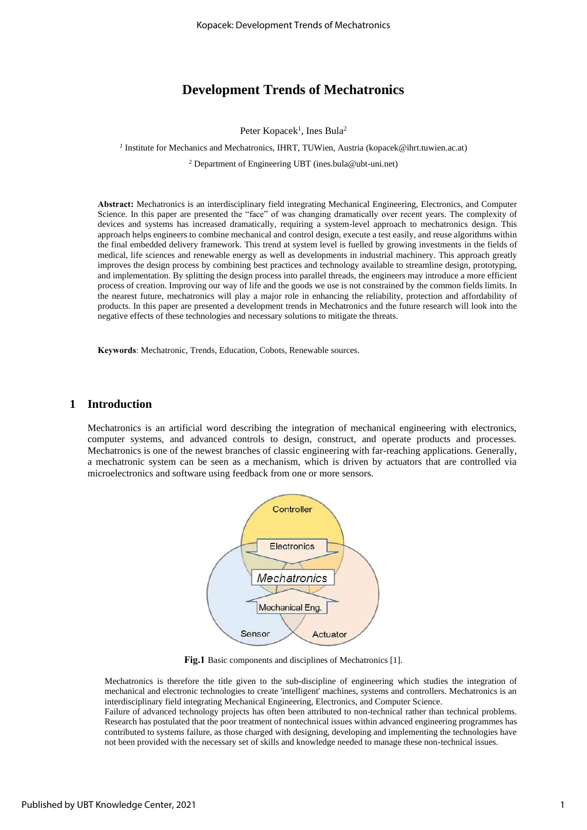## **Development Trends of Mechatronics**

Peter Kopacek<sup>1</sup>, Ines Bula<sup>2</sup>

<sup>1</sup> Institute for Mechanics and Mechatronics, IHRT, TUWien, Austria [\(kopacek@ihrt.tuwien.ac.at\)](mailto:kopacek@ihrt.tuwien.ac.at)

<sup>2</sup> Department of Engineering UBT (ines.bula@ubt-uni.net)

**Abstract:** Mechatronics is an interdisciplinary field integrating Mechanical Engineering, Electronics, and Computer Science. In this paper are presented the "face" of was changing dramatically over recent years. The complexity of devices and systems has increased dramatically, requiring a system-level approach to mechatronics design. This approach helps engineers to combine mechanical and control design, execute a test easily, and reuse algorithms within the final embedded delivery framework. This trend at system level is fuelled by growing investments in the fields of medical, life sciences and renewable energy as well as developments in industrial machinery. This approach greatly improves the design process by combining best practices and technology available to streamline design, prototyping, and implementation. By splitting the design process into parallel threads, the engineers may introduce a more efficient process of creation. Improving our way of life and the goods we use is not constrained by the common fields limits. In the nearest future, mechatronics will play a major role in enhancing the reliability, protection and affordability of products. In this paper are presented a development trends in Mechatronics and the future research will look into the negative effects of these technologies and necessary solutions to mitigate the threats.

**Keywords**: Mechatronic, Trends, Education, Cobots, Renewable sources.

#### **1 Introduction**

Mechatronics is an artificial word describing the integration of mechanical engineering with electronics, computer systems, and advanced controls to design, construct, and operate products and processes. Mechatronics is one of the newest branches of classic engineering with far-reaching applications. Generally, a mechatronic system can be seen as a mechanism, which is driven by actuators that are controlled via microelectronics and software using feedback from one or more sensors.



**Fig.1** Basic components and disciplines of Mechatronics [1].

Mechatronics is therefore the title given to the sub-discipline of engineering which studies the integration of mechanical and electronic technologies to create 'intelligent' machines, systems and controllers. Mechatronics is an interdisciplinary field integrating Mechanical Engineering, Electronics, and Computer Science.

Failure of advanced technology projects has often been attributed to non-technical rather than technical problems. Research has postulated that the poor treatment of nontechnical issues within advanced engineering programmes has contributed to systems failure, as those charged with designing, developing and implementing the technologies have not been provided with the necessary set of skills and knowledge needed to manage these non-technical issues.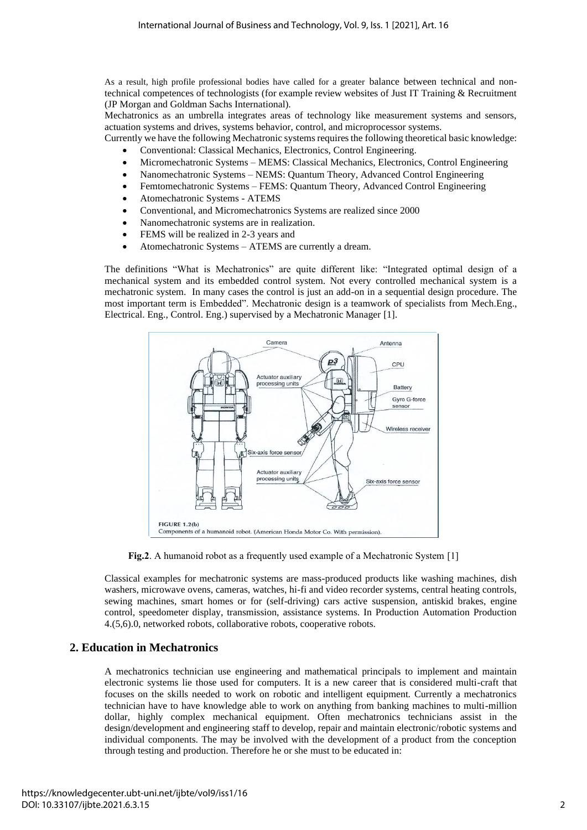As a result, high profile professional bodies have called for a greater balance between technical and nontechnical competences of technologists (for example review websites of Just IT Training & Recruitment (JP Morgan and Goldman Sachs International).

Mechatronics as an umbrella integrates areas of technology like measurement systems and sensors, actuation systems and drives, systems behavior, control, and microprocessor systems.

Currently we have the following Mechatronic systems requires the following theoretical basic knowledge: • Conventional: Classical Mechanics, Electronics, Control Engineering.

- Micromechatronic Systems MEMS: Classical Mechanics, Electronics, Control Engineering
- Nanomechatronic Systems NEMS: Quantum Theory, Advanced Control Engineering
- Femtomechatronic Systems FEMS: Quantum Theory, Advanced Control Engineering
- Atomechatronic Systems ATEMS
- Conventional, and Micromechatronics Systems are realized since 2000
- Nanomechatronic systems are in realization.
- FEMS will be realized in 2-3 years and
- Atomechatronic Systems ATEMS are currently a dream.

The definitions "What is Mechatronics" are quite different like: "Integrated optimal design of a mechanical system and its embedded control system. Not every controlled mechanical system is a mechatronic system. In many cases the control is just an add-on in a sequential design procedure. The most important term is Embedded". Mechatronic design is a teamwork of specialists from Mech.Eng., Electrical. Eng., Control. Eng.) supervised by a Mechatronic Manager [1].



**Fig.2**. A humanoid robot as a frequently used example of a Mechatronic System [1]

Classical examples for mechatronic systems are mass-produced products like washing machines, dish washers, microwave ovens, cameras, watches, hi-fi and video recorder systems, central heating controls, sewing machines, smart homes or for (self-driving) cars active suspension, antiskid brakes, engine control, speedometer display, transmission, assistance systems. In Production Automation Production 4.(5,6).0, networked robots, collaborative robots, cooperative robots.

#### **2. Education in Mechatronics**

A mechatronics technician use engineering and mathematical principals to implement and maintain electronic systems lie those used for computers. It is a new career that is considered multi-craft that focuses on the skills needed to work on robotic and intelligent equipment. Currently a mechatronics technician have to have knowledge able to work on anything from banking machines to multi-million dollar, highly complex mechanical equipment. Often mechatronics technicians assist in the design/development and engineering staff to develop, repair and maintain electronic/robotic systems and individual components. The may be involved with the development of a product from the conception through testing and production. Therefore he or she must to be educated in: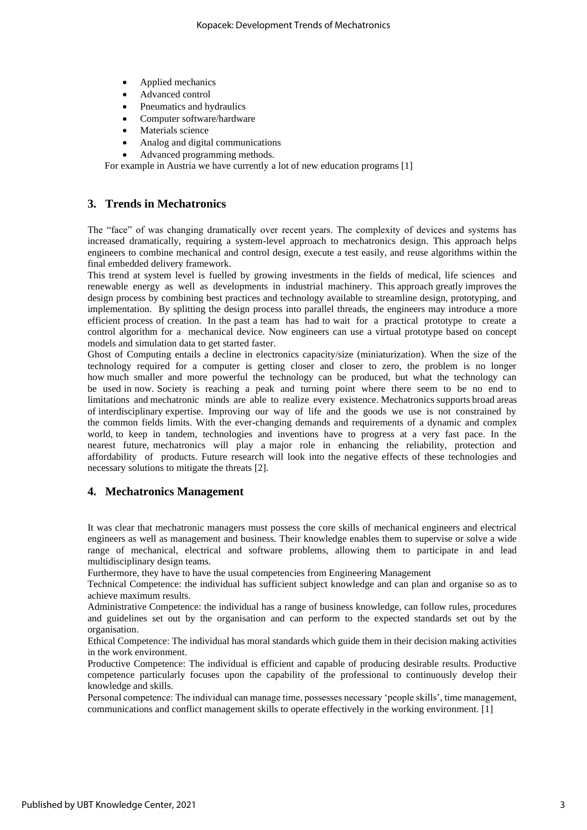- Applied mechanics
- Advanced control
- Pneumatics and hydraulics
- Computer software/hardware
- Materials science
- Analog and digital communications
- Advanced programming methods.

For example in Austria we have currently a lot of new education programs [1]

#### **3. Trends in Mechatronics**

The "face" of was changing dramatically over recent years. The complexity of devices and systems has increased dramatically, requiring a system-level approach to mechatronics design. This approach helps engineers to combine mechanical and control design, execute a test easily, and reuse algorithms within the final embedded delivery framework.

This trend at system level is fuelled by growing investments in the fields of medical, life sciences and renewable energy as well as developments in industrial machinery. This approach greatly improves the design process by combining best practices and technology available to streamline design, prototyping, and implementation. By splitting the design process into parallel threads, the engineers may introduce a more efficient process of creation. In the past a team has had to wait for a practical prototype to create a control algorithm for a mechanical device. Now engineers can use a virtual prototype based on concept models and simulation data to get started faster.

Ghost of Computing entails a decline in electronics capacity/size (miniaturization). When the size of the technology required for a computer is getting closer and closer to zero, the problem is no longer how much smaller and more powerful the technology can be produced, but what the technology can be used in now. Society is reaching a peak and turning point where there seem to be no end to limitations and mechatronic minds are able to realize every existence. Mechatronics supports broad areas of interdisciplinary expertise. Improving our way of life and the goods we use is not constrained by the common fields limits. With the ever-changing demands and requirements of a dynamic and complex world, to keep in tandem, technologies and inventions have to progress at a very fast pace. In the nearest future, mechatronics will play a major role in enhancing the reliability, protection and affordability of products. Future research will look into the negative effects of these technologies and necessary solutions to mitigate the threats [2].

#### **4. Mechatronics Management**

It was clear that mechatronic managers must possess the core skills of mechanical engineers and electrical engineers as well as management and business. Their knowledge enables them to supervise or solve a wide range of mechanical, electrical and software problems, allowing them to participate in and lead multidisciplinary design teams.

Furthermore, they have to have the usual competencies from Engineering Management

Technical Competence: the individual has sufficient subject knowledge and can plan and organise so as to achieve maximum results.

Administrative Competence: the individual has a range of business knowledge, can follow rules, procedures and guidelines set out by the organisation and can perform to the expected standards set out by the organisation.

Ethical Competence: The individual has moral standards which guide them in their decision making activities in the work environment.

Productive Competence: The individual is efficient and capable of producing desirable results. Productive competence particularly focuses upon the capability of the professional to continuously develop their knowledge and skills.

Personal competence: The individual can manage time, possesses necessary 'people skills', time management, communications and conflict management skills to operate effectively in the working environment. [1]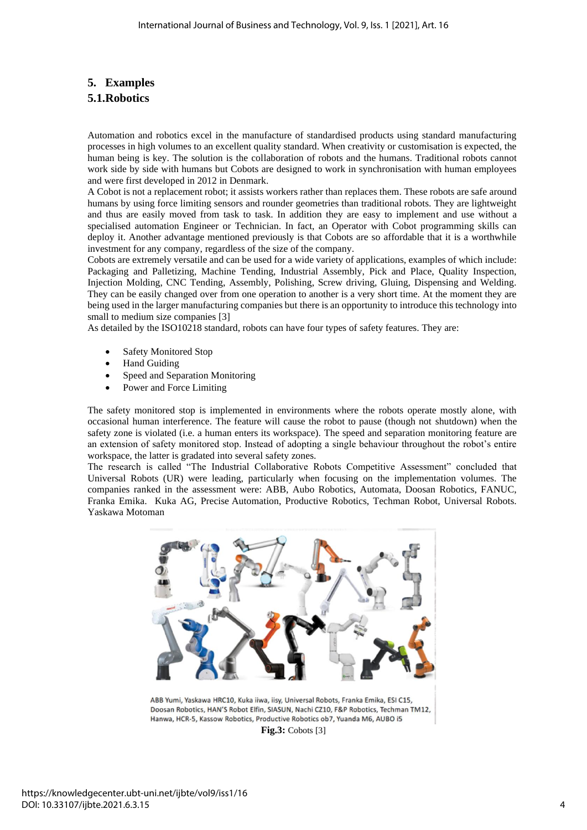## **5. Examples**

#### **5.1.Robotics**

Automation and robotics excel in the manufacture of standardised products using standard manufacturing processes in high volumes to an excellent quality standard. When creativity or customisation is expected, the human being is key. The solution is the collaboration of robots and the humans. Traditional robots cannot work side by side with humans but Cobots are designed to work in synchronisation with human employees and were first developed in 2012 in Denmark.

A Cobot is not a replacement robot; it assists workers rather than replaces them. These robots are safe around humans by using force limiting sensors and rounder geometries than traditional robots. They are lightweight and thus are easily moved from task to task. In addition they are easy to implement and use without a specialised automation Engineer or Technician. In fact, an Operator with Cobot programming skills can deploy it. Another advantage mentioned previously is that Cobots are so affordable that it is a worthwhile investment for any company, regardless of the size of the company.

Cobots are extremely versatile and can be used for a wide variety of applications, examples of which include: Packaging and Palletizing, Machine Tending, Industrial Assembly, Pick and Place, Quality Inspection, Injection Molding, CNC Tending, Assembly, Polishing, Screw driving, Gluing, Dispensing and Welding. They can be easily changed over from one operation to another is a very short time. At the moment they are being used in the larger manufacturing companies but there is an opportunity to introduce this technology into small to medium size companies [3]

As detailed by the ISO10218 standard, robots can have four types of safety features. They are:

- Safety Monitored Stop
- Hand Guiding
- Speed and Separation Monitoring
- Power and Force Limiting

The safety monitored stop is implemented in environments where the robots operate mostly alone, with occasional human interference. The feature will cause the robot to pause (though not shutdown) when the safety zone is violated (i.e. a human enters its workspace). The speed and separation monitoring feature are an extension of safety monitored stop. Instead of adopting a single behaviour throughout the robot's entire workspace, the latter is gradated into several safety zones.

The research is called "The Industrial Collaborative Robots Competitive Assessment" concluded that Universal Robots (UR) were leading, particularly when focusing on the implementation volumes. The companies ranked in the assessment were: ABB, Aubo Robotics, Automata, Doosan Robotics, FANUC, Franka Emika. Kuka AG, Precise Automation, Productive Robotics, Techman Robot, Universal Robots. Yaskawa Motoman



ABB Yumi, Yaskawa HRC10, Kuka iiwa, iisy, Universal Robots, Franka Emika, ESI C15, Doosan Robotics, HAN'S Robot Elfin, SIASUN, Nachi CZ10, F&P Robotics, Techman TM12, Hanwa, HCR-5, Kassow Robotics, Productive Robotics ob7, Yuanda M6, AUBO i5

**Fig.3:** Cobots [3]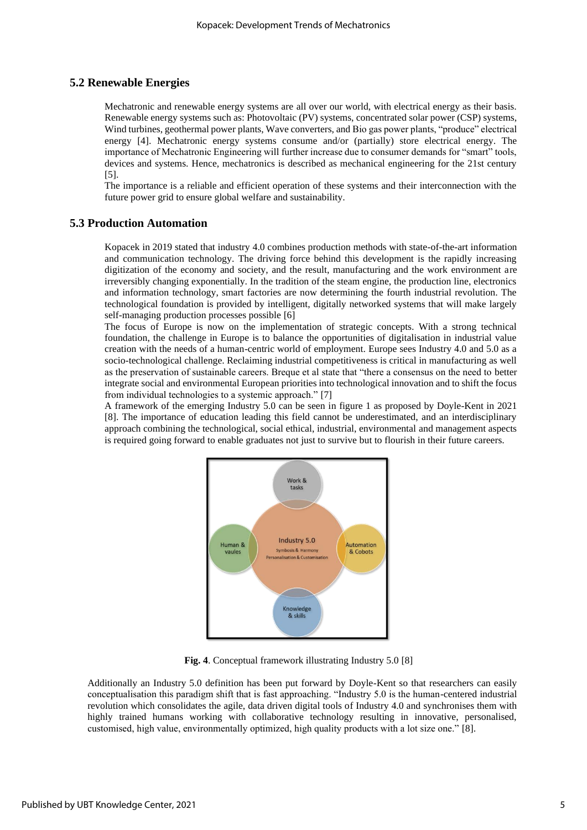#### **5.2 Renewable Energies**

Mechatronic and renewable energy systems are all over our world, with electrical energy as their basis. Renewable energy systems such as: Photovoltaic (PV) systems, concentrated solar power (CSP) systems, Wind turbines, geothermal power plants, Wave converters, and Bio gas power plants, "produce" electrical energy [4]. Mechatronic energy systems consume and/or (partially) store electrical energy. The importance of Mechatronic Engineering will further increase due to consumer demands for "smart" tools, devices and systems. Hence, mechatronics is described as mechanical engineering for the 21st century [5].

The importance is a reliable and efficient operation of these systems and their interconnection with the future power grid to ensure global welfare and sustainability.

#### **5.3 Production Automation**

Kopacek in 2019 stated that industry 4.0 combines production methods with state-of-the-art information and communication technology. The driving force behind this development is the rapidly increasing digitization of the economy and society, and the result, manufacturing and the work environment are irreversibly changing exponentially. In the tradition of the steam engine, the production line, electronics and information technology, smart factories are now determining the fourth industrial revolution. The technological foundation is provided by intelligent, digitally networked systems that will make largely self-managing production processes possible [6]

The focus of Europe is now on the implementation of strategic concepts. With a strong technical foundation, the challenge in Europe is to balance the opportunities of digitalisation in industrial value creation with the needs of a human-centric world of employment. Europe sees Industry 4.0 and 5.0 as a socio-technological challenge. Reclaiming industrial competitiveness is critical in manufacturing as well as the preservation of sustainable careers. Breque et al state that "there a consensus on the need to better integrate social and environmental European priorities into technological innovation and to shift the focus from individual technologies to a systemic approach." [7]

A framework of the emerging Industry 5.0 can be seen in figure 1 as proposed by Doyle-Kent in 2021 [8]. The importance of education leading this field cannot be underestimated, and an interdisciplinary approach combining the technological, social ethical, industrial, environmental and management aspects is required going forward to enable graduates not just to survive but to flourish in their future careers.



**Fig. 4**. Conceptual framework illustrating Industry 5.0 [8]

Additionally an Industry 5.0 definition has been put forward by Doyle-Kent so that researchers can easily conceptualisation this paradigm shift that is fast approaching. "Industry 5.0 is the human-centered industrial revolution which consolidates the agile, data driven digital tools of Industry 4.0 and synchronises them with highly trained humans working with collaborative technology resulting in innovative, personalised, customised, high value, environmentally optimized, high quality products with a lot size one." [8].